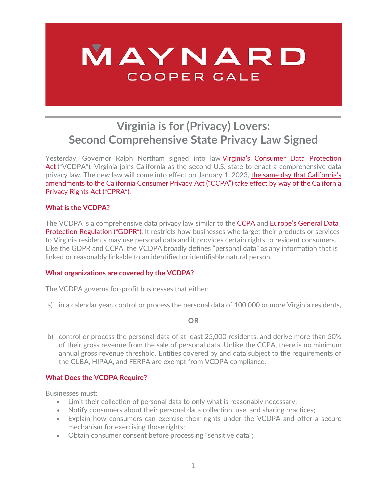# MAYNARD COOPER GALE

# **Virginia is for (Privacy) Lovers: Second Comprehensive State Privacy Law Signed**

Yesterday, Governor Ralph Northam signed into law [Virginia's Consumer Data Protection](https://legiscan.com/VA/text/HB2307/id/2308635)  [Act](https://legiscan.com/VA/text/HB2307/id/2308635) ("VCDPA"). Virginia joins California as the second U.S. state to enact a comprehensive data privacy law. The new law will come into effect on January 1, 2023, [the same day that California's](https://www.maynardcooper.com/californians-voted-yes-on-ccpa-2-0-what-do-businesses-need-to-know-about-the-new-cpra)  [amendments to the California Consumer Privacy Act \("CCPA"\) take effect by way of the California](https://www.maynardcooper.com/californians-voted-yes-on-ccpa-2-0-what-do-businesses-need-to-know-about-the-new-cpra)  [Privacy Rights Act \("CPRA"\).](https://www.maynardcooper.com/californians-voted-yes-on-ccpa-2-0-what-do-businesses-need-to-know-about-the-new-cpra)

# **What is the VCDPA?**

The VCDPA is a comprehensive data privacy law similar to the [CCPA](https://leginfo.legislature.ca.gov/faces/codes_displayText.xhtml?division=3.&part=4.&lawCode=CIV&title=1.81.5) and [Europe's General Data](https://gdpr-info.eu/)  [Protection Regulation \("GDPR"\).](https://gdpr-info.eu/) It restricts how businesses who target their products or services to Virginia residents may use personal data and it provides certain rights to resident consumers. Like the GDPR and CCPA, the VCDPA broadly defines "personal data" as any information that is linked or reasonably linkable to an identified or identifiable natural person.

# **What organizations are covered by the VCDPA?**

The VCDPA governs for-profit businesses that either:

a) in a calendar year, control or process the personal data of 100,000 or more Virginia residents,

#### **OR**

b) control or process the personal data of at least 25,000 residents, and derive more than 50% of their gross revenue from the sale of personal data. Unlike the CCPA, there is no minimum annual gross revenue threshold. Entities covered by and data subject to the requirements of the GLBA, HIPAA, and FERPA are exempt from VCDPA compliance.

# **What Does the VCDPA Require?**

Businesses must:

- Limit their collection of personal data to only what is reasonably necessary;
- Notify consumers about their personal data collection, use, and sharing practices;
- Explain how consumers can exercise their rights under the VCDPA and offer a secure mechanism for exercising those rights;
- Obtain consumer consent before processing "sensitive data";